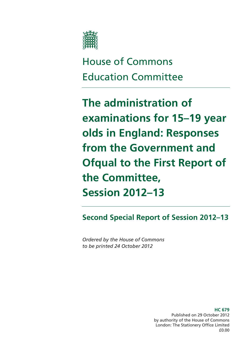

# House of Commons Education Committee

**The administration of examinations for 15–19 year olds in England: Responses from the Government and Ofqual to the First Report of the Committee, Session 2012–13** 

**Second Special Report of Session 2012–13** 

*Ordered by the House of Commons to be printed 24 October 2012* 

> **HC 679**  Published on 29 October 2012 by authority of the House of Commons London: The Stationery Office Limited £0.00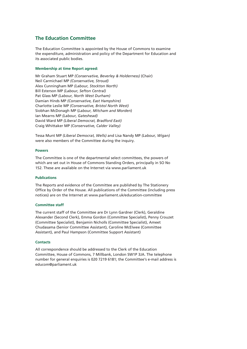## **The Education Committee**

The Education Committee is appointed by the House of Commons to examine the expenditure, administration and policy of the Department for Education and its associated public bodies.

#### **Membership at time Report agreed:**

Mr Graham Stuart MP *(Conservative, Beverley & Holderness)* (Chair) Neil Carmichael MP *(Conservative, Stroud)*  Alex Cunningham MP *(Labour, Stockton North)* Bill Esterson MP *(Labour, Sefton Central)*  Pat Glass MP *(Labour, North West Durham)*  Damian Hinds MP *(Conservative, East Hampshire)*  Charlotte Leslie MP *(Conservative, Bristol North West)*  Siobhan McDonagh MP (*Labour, Mitcham and Morden*) Ian Mearns MP *(Labour, Gateshead)*  David Ward MP *(Liberal Democrat, Bradford East)*  Craig Whittaker MP *(Conservative, Calder Valley)* 

Tessa Munt MP *(Liberal Democrat, Wells)* and Lisa Nandy MP *(Labour, Wigan)*  were also members of the Committee during the inquiry.

#### **Powers**

The Committee is one of the departmental select committees, the powers of which are set out in House of Commons Standing Orders, principally in SO No 152. These are available on the Internet via www.parliament.uk

#### **Publications**

The Reports and evidence of the Committee are published by The Stationery Office by Order of the House. All publications of the Committee (including press notices) are on the Internet at www.parliament.uk/education-committee

#### **Committee staff**

The current staff of the Committee are Dr Lynn Gardner (Clerk), Geraldine Alexander (Second Clerk), Emma Gordon (Committee Specialist), Penny Crouzet (Committee Specialist), Benjamin Nicholls (Committee Specialist), Ameet Chudasama (Senior Committee Assistant), Caroline McElwee (Committee Assistant), and Paul Hampson (Committee Support Assistant)

#### **Contacts**

All correspondence should be addressed to the Clerk of the Education Committee, House of Commons, 7 Millbank, London SW1P 3JA. The telephone number for general enquiries is 020 7219 6181; the Committee's e-mail address is educom@parliament.uk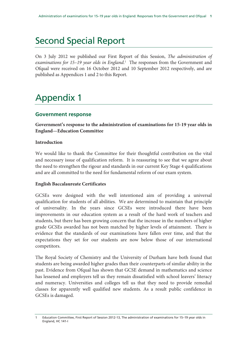## Second Special Report

On 3 July 2012 we published our First Report of this Session, *The administration of*  examinations for 15-19 year olds in England.<sup>1</sup> The responses from the Government and Ofqual were received on 16 October 2012 and 10 September 2012 respectively, and are published as Appendices 1 and 2 to this Report.

## Appendix 1

## **Government response**

**Government's response to the administration of examinations for 15-19 year olds in England—Education Committee** 

## **Introduction**

We would like to thank the Committee for their thoughtful contribution on the vital and necessary issue of qualification reform. It is reassuring to see that we agree about the need to strengthen the rigour and standards in our current Key Stage 4 qualifications and are all committed to the need for fundamental reform of our exam system.

#### **English Baccalaureate Certificates**

GCSEs were designed with the well intentioned aim of providing a universal qualification for students of all abilities. We are determined to maintain that principle of universality. In the years since GCSEs were introduced there have been improvements in our education system as a result of the hard work of teachers and students, but there has been growing concern that the increase in the numbers of higher grade GCSEs awarded has not been matched by higher levels of attainment. There is evidence that the standards of our examinations have fallen over time, and that the expectations they set for our students are now below those of our international competitors.

The Royal Society of Chemistry and the University of Durham have both found that students are being awarded higher grades than their counterparts of similar ability in the past. Evidence from Ofqual has shown that GCSE demand in mathematics and science has lessened and employers tell us they remain dissatisfied with school leavers' literacy and numeracy. Universities and colleges tell us that they need to provide remedial classes for apparently well qualified new students. As a result public confidence in GCSEs is damaged.

Education Committee, First Report of Session 2012-13, The administration of examinations for 15-19 year olds in England, HC 141-I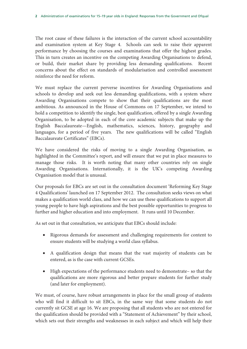The root cause of these failures is the interaction of the current school accountability and examination system at Key Stage 4. Schools can seek to raise their apparent performance by choosing the courses and examinations that offer the highest grades. This in turn creates an incentive on the competing Awarding Organisations to defend, or build, their market share by providing less demanding qualifications. Recent concerns about the effect on standards of modularisation and controlled assessment reinforce the need for reform.

We must replace the current perverse incentives for Awarding Organisations and schools to develop and seek out less demanding qualifications, with a system where Awarding Organisations compete to show that their qualifications are the most ambitious. As announced in the House of Commons on 17 September, we intend to hold a competition to identify the single, best qualification, offered by a single Awarding Organisation, to be adopted in each of the core academic subjects that make up the English Baccalaureate—English, mathematics, sciences, history, geography and languages, for a period of five years. The new qualifications will be called "English Baccalaureate Certificates" (EBCs).

We have considered the risks of moving to a single Awarding Organisation, as highlighted in the Committee's report, and will ensure that we put in place measures to manage those risks. It is worth noting that many other countries rely on single Awarding Organisations. Internationally, it is the UK's competing Awarding Organisation model that is unusual.

Our proposals for EBCs are set out in the consultation document 'Reforming Key Stage 4 Qualifications' launched on 17 September 2012. The consultation seeks views on what makes a qualification world class, and how we can use these qualifications to support all young people to have high aspirations and the best possible opportunities to progress to further and higher education and into employment. It runs until 10 December.

As set out in that consultation, we anticipate that EBCs should include:

- Rigorous demands for assessment and challenging requirements for content to ensure students will be studying a world class syllabus.
- A qualification design that means that the vast majority of students can be entered, as is the case with current GCSEs.
- High expectations of the performance students need to demonstrate– so that the qualifications are more rigorous and better prepare students for further study (and later for employment).

We must, of course, have robust arrangements in place for the small group of students who will find it difficult to sit EBCs, in the same way that some students do not currently sit GCSE at age 16. We are proposing that all students who are not entered for the qualification should be provided with a "Statement of Achievement" by their school, which sets out their strengths and weaknesses in each subject and which will help their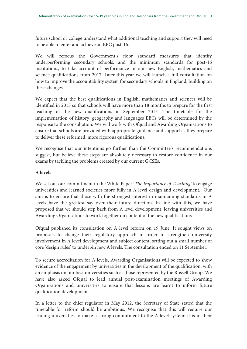future school or college understand what additional teaching and support they will need to be able to enter and achieve an EBC post-16.

We will refocus the Government's floor standard measures that identify underperforming secondary schools, and the minimum standards for post-16 institutions, to take account of performance in our new English, mathematics and science qualifications from 2017. Later this year we will launch a full consultation on how to improve the accountability system for secondary schools in England, building on these changes.

We expect that the best qualifications in English, mathematics and sciences will be identified in 2013 so that schools will have more than 18 months to prepare for the first teaching of the new qualifications in September 2015. The timetable for the implementation of history, geography and languages EBCs will be determined by the response to the consultation. We will work with Ofqual and Awarding Organisations to ensure that schools are provided with appropriate guidance and support as they prepare to deliver these reformed, more rigorous qualifications.

We recognise that our intentions go further than the Committee's recommendations suggest, but believe these steps are absolutely necessary to restore confidence in our exams by tackling the problems created by our current GCSEs.

### **A levels**

We set out our commitment in the White Paper '*The Importance of Teaching'* to engage universities and learned societies more fully in A level design and development. Our aim is to ensure that those with the strongest interest in maintaining standards in A levels have the greatest say over their future direction. In line with this, we have proposed that we should step back from A level development, leaving universities and Awarding Organisations to work together on content of the new qualifications.

Ofqual published its consultation on A level reform on 19 June. It sought views on proposals to change their regulatory approach in order to strengthen university involvement in A level development and subject content, setting out a small number of core 'design rules' to underpin new A levels. The consultation ended on 11 September.

To secure accreditation for A levels, Awarding Organisations will be expected to show evidence of the engagement by universities in the development of the qualification, with an emphasis on our best universities such as those represented by the Russell Group. We have also asked Ofqual to lead annual post-examination meetings of Awarding Organisations and universities to ensure that lessons are learnt to inform future qualification development.

In a letter to the chief regulator in May 2012, the Secretary of State stated that the timetable for reform should be ambitious. We recognise that this will require our leading universities to make a strong commitment to the A level system: it is in their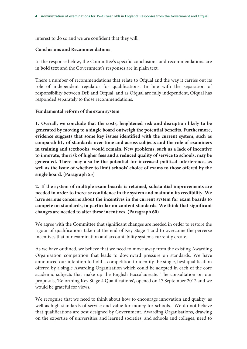interest to do so and we are confident that they will.

#### **Conclusions and Recommendations**

In the response below, the Committee's specific conclusions and recommendations are in **bold text** and the Government's responses are in plain text.

There a number of recommendations that relate to Ofqual and the way it carries out its role of independent regulator for qualifications. In line with the separation of responsibility between DfE and Ofqual, and as Ofqual are fully independent, Ofqual has responded separately to those recommendations.

#### **Fundamental reform of the exam system**

**1. Overall, we conclude that the costs, heightened risk and disruption likely to be generated by moving to a single board outweigh the potential benefits. Furthermore, evidence suggests that some key issues identified with the current system, such as comparability of standards over time and across subjects and the role of examiners in training and textbooks, would remain. New problems, such as a lack of incentive to innovate, the risk of higher fees and a reduced quality of service to schools, may be generated. There may also be the potential for increased political interference, as well as the issue of whether to limit schools' choice of exams to those offered by the single board. (Paragraph 55)**

**2. If the system of multiple exam boards is retained, substantial improvements are needed in order to increase confidence in the system and maintain its credibility. We have serious concerns about the incentives in the current system for exam boards to compete on standards, in particular on content standards. We think that significant changes are needed to alter these incentives. (Paragraph 60)** 

We agree with the Committee that significant changes are needed in order to restore the rigour of qualifications taken at the end of Key Stage 4 and to overcome the perverse incentives that our examination and accountability systems currently create.

As we have outlined, we believe that we need to move away from the existing Awarding Organisation competition that leads to downward pressure on standards. We have announced our intention to hold a competition to identify the single, best qualification offered by a single Awarding Organisation which could be adopted in each of the core academic subjects that make up the English Baccalaureate. The consultation on our proposals, 'Reforming Key Stage 4 Qualifications', opened on 17 September 2012 and we would be grateful for views.

We recognise that we need to think about how to encourage innovation and quality, as well as high standards of service and value for money for schools. We do not believe that qualifications are best designed by Government. Awarding Organisations, drawing on the expertise of universities and learned societies, and schools and colleges, need to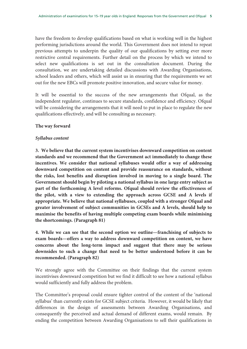have the freedom to develop qualifications based on what is working well in the highest performing jurisdictions around the world. This Government does not intend to repeat previous attempts to underpin the quality of our qualifications by setting ever more restrictive central requirements. Further detail on the process by which we intend to select new qualifications is set out in the consultation document. During the consultation, we are undertaking detailed discussions with Awarding Organisations, school leaders and others, which will assist us in ensuring that the requirements we set out for the new EBCs will promote positive innovation, and secure value for money.

It will be essential to the success of the new arrangements that Ofqual, as the independent regulator, continues to secure standards, confidence and efficiency. Ofqual will be considering the arrangements that it will need to put in place to regulate the new qualifications effectively, and will be consulting as necessary.

#### **The way forward**

#### *Syllabus content*

**3. We believe that the current system incentivises downward competition on content standards and we recommend that the Government act immediately to change these incentives. We consider that national syllabuses would offer a way of addressing downward competition on content and provide reassurance on standards, without the risks, lost benefits and disruption involved in moving to a single board. The Government should begin by piloting a national syllabus in one large entry subject as part of the forthcoming A level reforms. Ofqual should review the effectiveness of the pilot, with a view to extending the approach across GCSE and A levels if appropriate. We believe that national syllabuses, coupled with a stronger Ofqual and greater involvement of subject communities in GCSEs and A levels, should help to maximise the benefits of having multiple competing exam boards while minimising the shortcomings. (Paragraph 81)**

**4. While we can see that the second option we outline—franchising of subjects to exam boards—offers a way to address downward competition on content, we have concerns about the long-term impact and suggest that there may be serious downsides to such a change that need to be better understood before it can be recommended. (Paragraph 82)** 

We strongly agree with the Committee on their findings that the current system incentivises downward competition but we find it difficult to see how a national syllabus would sufficiently and fully address the problem.

The Committee's proposal could ensure tighter control of the content of the 'national syllabus' than currently exists for GCSE subject criteria. However, it would be likely that differences in the design of assessments between Awarding Organisations, and consequently the perceived and actual demand of different exams, would remain. By ending the competition between Awarding Organisations to sell their qualifications in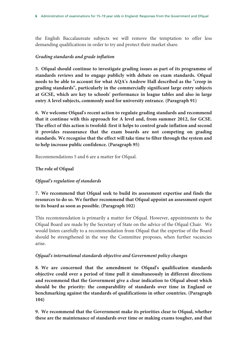the English Baccalaureate subjects we will remove the temptation to offer less demanding qualifications in order to try and protect their market share.

## *Grading standards and grade inflation*

**5. Ofqual should continue to investigate grading issues as part of its programme of standards reviews and to engage publicly with debate on exam standards. Ofqual needs to be able to account for what AQA's Andrew Hall described as the "creep in grading standards", particularly in the commercially significant large entry subjects at GCSE, which are key to schools' performance in league tables and also in large entry A level subjects, commonly used for university entrance. (Paragraph 91)** 

**6. We welcome Ofqual's recent action to regulate grading standards and recommend that it continue with this approach for A level and, from summer 2012, for GCSE. The effect of this action is twofold: first it helps to control grade inflation and second it provides reassurance that the exam boards are not competing on grading standards. We recognise that the effect will take time to filter through the system and to help increase public confidence. (Paragraph 95)** 

Recommendations 5 and 6 are a matter for Ofqual.

## **The role of Ofqual**

## *Ofqual's regulation of standards*

**7. We recommend that Ofqual seek to build its assessment expertise and finds the resources to do so. We further recommend that Ofqual appoint an assessment expert to its board as soon as possible. (Paragraph 102)** 

This recommendation is primarily a matter for Ofqual. However, appointments to the Ofqual Board are made by the Secretary of State on the advice of the Ofqual Chair. We would listen carefully to a recommendation from Ofqual that the expertise of the Board should be strengthened in the way the Committee proposes, when further vacancies arise.

## *Ofqual's international standards objective and Government policy changes*

**8. We are concerned that the amendment to Ofqual's qualification standards objective could over a period of time pull it simultaneously in different directions and recommend that the Government give a clear indication to Ofqual about which should be the priority: the comparability of standards over time in England or benchmarking against the standards of qualifications in other countries. (Paragraph 104)** 

**9. We recommend that the Government make its priorities clear to Ofqual, whether these are the maintenance of standards over time or making exams tougher, and that**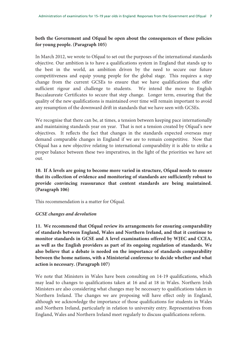## **both the Government and Ofqual be open about the consequences of these policies for young people. (Paragraph 105)**

In March 2012, we wrote to Ofqual to set out the purposes of the international standards objective. Our ambition is to have a qualifications system in England that stands up to the best in the world, an ambition driven by the need to secure our future competitiveness and equip young people for the global stage. This requires a step change from the current GCSEs to ensure that we have qualifications that offer sufficient rigour and challenge to students. We intend the move to English Baccalaureate Certificates to secure that step change. Longer term, ensuring that the quality of the new qualifications is maintained over time will remain important to avoid any resumption of the downward drift in standards that we have seen with GCSEs.

We recognise that there can be, at times, a tension between keeping pace internationally and maintaining standards year on year. That is not a tension created by Ofqual's new objectives. It reflects the fact that changes in the standards expected overseas may demand comparable changes in England if we are to remain competitive. Now that Ofqual has a new objective relating to international comparability it is able to strike a proper balance between these two imperatives, in the light of the priorities we have set out.

**10. If A levels are going to become more varied in structure, Ofqual needs to ensure that its collection of evidence and monitoring of standards are sufficiently robust to provide convincing reassurance that content standards are being maintained. (Paragraph 106)** 

This recommendation is a matter for Ofqual.

#### *GCSE changes and devolution*

**11. We recommend that Ofqual review its arrangements for ensuring comparability of standards between England, Wales and Northern Ireland, and that it continue to monitor standards in GCSE and A level examinations offered by WJEC and CCEA, as well as the English providers as part of its ongoing regulation of standards. We also believe that a debate is needed on the importance of standards comparability between the home nations, with a Ministerial conference to decide whether and what action is necessary. (Paragraph 107)** 

We note that Ministers in Wales have been consulting on 14-19 qualifications, which may lead to changes to qualifications taken at 16 and at 18 in Wales. Northern Irish Ministers are also considering what changes may be necessary to qualifications taken in Northern Ireland. The changes we are proposing will have effect only in England, although we acknowledge the importance of those qualifications for students in Wales and Northern Ireland, particularly in relation to university entry. Representatives from England, Wales and Northern Ireland meet regularly to discuss qualifications reform.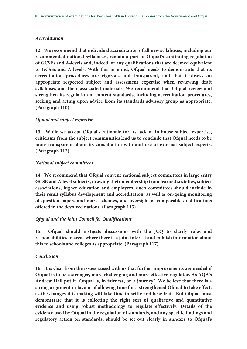#### *Accreditation*

**12. We recommend that individual accreditation of all new syllabuses, including our recommended national syllabuses, remain a part of Ofqual's continuing regulation of GCSEs and A-levels and, indeed, of any qualifications that are deemed equivalent to GCSEs and A-levels. With this in mind, Ofqual needs to demonstrate that its accreditation procedures are rigorous and transparent, and that it draws on appropriate respected subject and assessment expertise when reviewing draft syllabuses and their associated materials. We recommend that Ofqual review and strengthen its regulation of content standards, including accreditation procedures, seeking and acting upon advice from its standards advisory group as appropriate. (Paragraph 110)** 

## *Ofqual and subject expertise*

**13. While we accept Ofqual's rationale for its lack of in-house subject expertise, criticisms from the subject communities lead us to conclude that Ofqual needs to be more transparent about its consultation with and use of external subject experts. (Paragraph 112)** 

#### *National subject committees*

**14. We recommend that Ofqual convene national subject committees in large entry GCSE and A level subjects, drawing their membership from learned societies, subject associations, higher education and employers. Such committees should include in their remit syllabus development and accreditation, as well as on-going monitoring of question papers and mark schemes, and oversight of comparable qualifications offered in the devolved nations. (Paragraph 115)** 

#### *Ofqual and the Joint Council for Qualifications*

**15. Ofqual should instigate discussions with the JCQ to clarify roles and responsibilities in areas where there is a joint interest and publish information about this to schools and colleges as appropriate. (Paragraph 117)** 

#### *Conclusion*

**16. It is clear from the issues raised with us that further improvements are needed if Ofqual is to be a stronger, more challenging and more effective regulator. As AQA's Andrew Hall put it "Ofqual is, in fairness, on a journey". We believe that there is a strong argument in favour of allowing time for a strengthened Ofqual to take effect, as the changes it is making will take time to settle and bear fruit. But Ofqual must demonstrate that it is collecting the right sort of qualitative and quantitative evidence and using robust methodology to regulate effectively. Details of the evidence used by Ofqual in the regulation of standards, and any specific findings and regulatory action on standards, should be set out clearly in annexes to Ofqual's**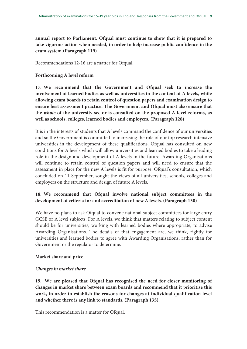**annual report to Parliament. Ofqual must continue to show that it is prepared to take vigorous action when needed, in order to help increase public confidence in the exam system.(Paragraph 119)** 

Recommendations 12-16 are a matter for Ofqual.

#### **Forthcoming A level reform**

**17. We recommend that the Government and Ofqual seek to increase the involvement of learned bodies as well as universities in the content of A levels, while allowing exam boards to retain control of question papers and examination design to ensure best assessment practice. The Government and Ofqual must also ensure that the** *whole* **of the university sector is consulted on the proposed A level reforms, as well as schools, colleges, learned bodies and employers. (Paragraph 128)** 

It is in the interests of students that A levels command the confidence of our universities and so the Government is committed to increasing the role of our top research intensive universities in the development of these qualifications. Ofqual has consulted on new conditions for A levels which will allow universities and learned bodies to take a leading role in the design and development of A levels in the future. Awarding Organisations will continue to retain control of question papers and will need to ensure that the assessment in place for the new A levels is fit for purpose. Ofqual's consultation, which concluded on 11 September, sought the views of all universities, schools, colleges and employers on the structure and design of future A levels.

## **18. We recommend that Ofqual involve national subject committees in the development of criteria for and accreditation of new A levels. (Paragraph 130)**

We have no plans to ask Ofqual to convene national subject committees for large entry GCSE or A level subjects. For A levels, we think that matters relating to subject content should be for universities, working with learned bodies where appropriate, to advise Awarding Organisations. The details of that engagement are, we think, rightly for universities and learned bodies to agree with Awarding Organisations, rather than for Government or the regulator to determine.

#### **Market share and price**

#### *Changes in market share*

**19. We are pleased that Ofqual has recognised the need for closer monitoring of changes in market share between exam boards and recommend that it prioritise this work, in order to establish the reasons for changes at individual qualification level and whether there is any link to standards. (Paragraph 135).** 

This recommendation is a matter for Ofqual.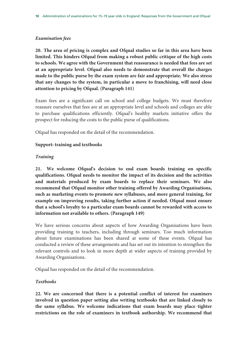#### *Examination fees*

**20. The area of pricing is complex and Ofqual studies so far in this area have been limited. This hinders Ofqual from making a robust public critique of the high costs to schools. We agree with the Government that reassurance is needed that fees are set at an appropriate level. Ofqual also needs to demonstrate that overall the charges made to the public purse by the exam system are fair and appropriate. We also stress that any changes to the system, in particular a move to franchising, will need close attention to pricing by Ofqual. (Paragraph 141)** 

Exam fees are a significant call on school and college budgets. We must therefore reassure ourselves that fees are at an appropriate level and schools and colleges are able to purchase qualifications efficiently. Ofqual's healthy markets initiative offers the prospect for reducing the costs to the public purse of qualifications.

Ofqual has responded on the detail of the recommendation.

#### **Support: training and textbooks**

#### *Training*

**21. We welcome Ofqual's decision to end exam boards training on specific qualifications. Ofqual needs to monitor the impact of its decision and the activities and materials produced by exam boards to replace their seminars. We also recommend that Ofqual monitor other training offered by Awarding Organisations, such as marketing events to promote new syllabuses, and more general training, for example on improving results, taking further action if needed. Ofqual must ensure that a school's loyalty to a particular exam boards cannot be rewarded with access to information not available to others. (Paragraph 149)** 

We have serious concerns about aspects of how Awarding Organisations have been providing training to teachers, including through seminars. Too much information about future examinations has been shared at some of these events. Ofqual has conducted a review of these arrangements and has set out its intention to strengthen the relevant controls and to look in more depth at wider aspects of training provided by Awarding Organisations.

Ofqual has responded on the detail of the recommendation.

#### *Textbooks*

**22. We are concerned that there is a potential conflict of interest for examiners involved in question paper setting also writing textbooks that are linked closely to the same syllabus. We welcome indications that exam boards may place tighter restrictions on the role of examiners in textbook authorship. We recommend that**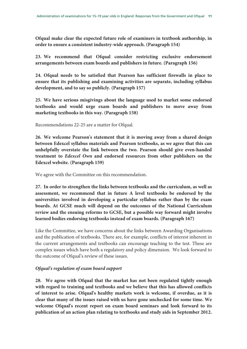**Ofqual make clear the expected future role of examiners in textbook authorship, in order to ensure a consistent industry-wide approach. (Paragraph 154)** 

**23. We recommend that Ofqual consider restricting exclusive endorsement arrangements between exam boards and publishers in future. (Paragraph 156)** 

**24. Ofqual needs to be satisfied that Pearson has sufficient firewalls in place to ensure that its publishing and examining activities are separate, including syllabus development, and to say so publicly. (Paragraph 157)** 

**25. We have serious misgivings about the language used to market some endorsed textbooks and would urge exam boards and publishers to move away from marketing textbooks in this way. (Paragraph 158)** 

Recommendations 22-25 are a matter for Ofqual.

**26. We welcome Pearson's statement that it is moving away from a shared design between Edexcel syllabus materials and Pearson textbooks, as we agree that this can unhelpfully overstate the link between the two. Pearson should give even-handed treatment to** *Edexcel Own* **and endorsed resources from other publishers on the Edexcel website. (Paragraph 159)** 

We agree with the Committee on this recommendation.

**27. In order to strengthen the links between textbooks and the curriculum, as well as assessment, we recommend that in future A level textbooks be endorsed by the universities involved in developing a particular syllabus rather than by the exam boards. At GCSE much will depend on the outcomes of the National Curriculum review and the ensuing reforms to GCSE, but a possible way forward might involve learned bodies endorsing textbooks instead of exam boards. (Paragraph 167)** 

Like the Committee, we have concerns about the links between Awarding Organisations and the publication of textbooks. There are, for example, conflicts of interest inherent in the current arrangements and textbooks can encourage teaching to the test. These are complex issues which have both a regulatory and policy dimension. We look forward to the outcome of Ofqual's review of these issues.

## *Ofqual's regulation of exam board support*

**28. We agree with Ofqual that the market has not been regulated tightly enough with regard to training and textbooks and we believe that this has allowed conflicts of interest to arise. Ofqual's healthy markets work is welcome, if overdue, as it is clear that many of the issues raised with us have gone unchecked for some time. We welcome Ofqual's recent report on exam board seminars and look forward to its publication of an action plan relating to textbooks and study aids in September 2012.**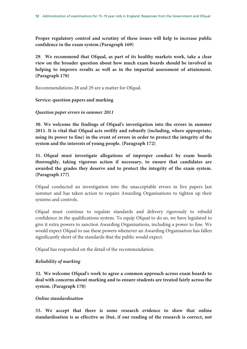**Proper regulatory control and scrutiny of these issues will help to increase public confidence in the exam system.(Paragraph 169)** 

**29**. **We recommend that Ofqual, as part of its healthy markets work, take a clear view on the broader question about how much exam boards should be involved in helping to improve results as well as in the impartial assessment of attainment. (Paragraph 170)** 

Recommendations 28 and 29 are a matter for Ofqual.

## **Service: question papers and marking**

## *Question paper errors in summer 2011*

**30. We welcome the findings of Ofqual's investigation into the errors in summer 2011. It is vital that Ofqual acts swiftly and robustly (including, where appropriate, using its power to fine) in the event of errors in order to protect the integrity of the system and the interests of young people. (Paragraph 172)** 

**31. Ofqual must investigate allegations of improper conduct by exam boards thoroughly, taking vigorous action if necessary, to ensure that candidates are awarded the grades they deserve and to protect the integrity of the exam system. (Paragraph 177)** 

Ofqual conducted an investigation into the unacceptable errors in live papers last summer and has taken action to require Awarding Organisations to tighten up their systems and controls.

Ofqual must continue to regulate standards and delivery rigorously to rebuild confidence in the qualifications system. To equip Ofqual to do so, we have legislated to give it extra powers to sanction Awarding Organisations, including a power to fine. We would expect Ofqual to use these powers whenever an Awarding Organisation has fallen significantly short of the standards that the public would expect.

Ofqual has responded on the detail of the recommendation.

## *Reliability of marking*

**32. We welcome Ofqual's work to agree a common approach across exam boards to deal with concerns about marking and to ensure students are treated fairly across the system. (Paragraph 178)** 

#### *Online standardisation*

**33. We accept that there is some research evidence to show that online standardisation is as effective as (but, if our reading of the research is correct, not**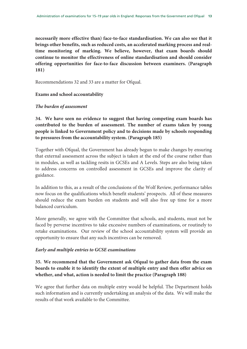**necessarily more effective than) face-to-face standardisation. We can also see that it brings other benefits, such as reduced costs, an accelerated marking process and realtime monitoring of marking. We believe, however, that exam boards should continue to monitor the effectiveness of online standardisation and should consider offering opportunities for face-to-face discussion between examiners. (Paragraph 181)** 

Recommendations 32 and 33 are a matter for Ofqual.

#### **Exams and school accountability**

#### *The burden of assessment*

**34. We have seen no evidence to suggest that having competing exam boards has contributed to the burden of assessment. The number of exams taken by young people is linked to Government policy and to decisions made by schools responding to pressures from the accountability system. (Paragraph 185)** 

Together with Ofqual, the Government has already begun to make changes by ensuring that external assessment across the subject is taken at the end of the course rather than in modules, as well as tackling resits in GCSEs and A Levels. Steps are also being taken to address concerns on controlled assessment in GCSEs and improve the clarity of guidance.

In addition to this, as a result of the conclusions of the Wolf Review, performance tables now focus on the qualifications which benefit students' prospects. All of these measures should reduce the exam burden on students and will also free up time for a more balanced curriculum.

More generally, we agree with the Committee that schools, and students, must not be faced by perverse incentives to take excessive numbers of examinations, or routinely to retake examinations. Our review of the school accountability system will provide an opportunity to ensure that any such incentives can be removed.

#### *Early and multiple entries to GCSE examinations*

## **35. We recommend that the Government ask Ofqual to gather data from the exam boards to enable it to identify the extent of multiple entry and then offer advice on whether, and what, action is needed to limit the practice (Paragraph 188)**

We agree that further data on multiple entry would be helpful. The Department holds such information and is currently undertaking an analysis of the data. We will make the results of that work available to the Committee.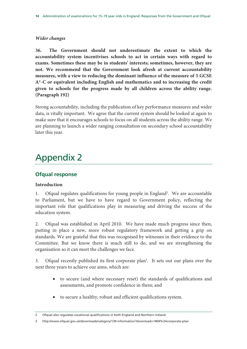#### *Wider changes*

**36. The Government should not underestimate the extent to which the accountability system incentivises schools to act in certain ways with regard to exams. Sometimes these may be in students' interests; sometimes, however, they are not. We recommend that the Government look afresh at current accountability measures, with a view to reducing the dominant influence of the measure of 5 GCSE A\*-C or equivalent including English and mathematics and to increasing the credit given to schools for the progress made by all children across the ability range. (Paragraph 192)**

Strong accountability, including the publication of key performance measures and wider data, is vitally important. We agree that the current system should be looked at again to make sure that it encourages schools to focus on all students across the ability range. We are planning to launch a wider ranging consultation on secondary school accountability later this year.

## Appendix 2

## **Ofqual response**

#### **Introduction**

1. Ofqual regulates qualifications for young people in England<sup>2</sup>. We are accountable to Parliament, but we have to have regard to Government policy, reflecting the important role that qualifications play in measuring and driving the success of the education system.

2. Ofqual was established in April 2010. We have made much progress since then, putting in place a new, more robust regulatory framework and getting a grip on standards. We are grateful that this was recognised by witnesses in their evidence to the Committee. But we know there is much still to do, and we are strengthening the organisation so it can meet the challenges we face.

3. Ofqual recently published its first corporate plan<sup>3</sup>. It sets out our plans over the next three years to achieve our aims, which are:

- to secure (and where necessary reset) the standards of qualifications and assessments, and promote confidence in them; and
- to secure a healthy, robust and efficient qualifications system.

<sup>2</sup> Ofqual also regulates vocational qualifications in both England and Northern Ireland.

<sup>3</sup> http://www.ofqual.gov.uk/downloads/category/139-information?download=1404%3Acorporate-plan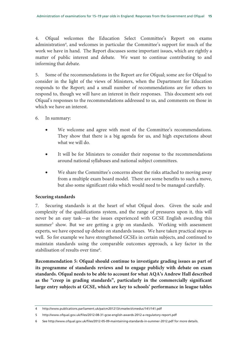4. Ofqual welcomes the Education Select Committee's Report on exams administration<sup>4</sup>, and welcomes in particular the Committee's support for much of the work we have in hand. The Report discusses some important issues, which are rightly a matter of public interest and debate. We want to continue contributing to and informing that debate.

5. Some of the recommendations in the Report are for Ofqual; some are for Ofqual to consider in the light of the views of Ministers, when the Department for Education responds to the Report; and a small number of recommendations are for others to respond to, though we will have an interest in their responses. This document sets out Ofqual's responses to the recommendations addressed to us, and comments on those in which we have an interest.

- 6. In summary:
	- We welcome and agree with most of the Committee's recommendations. They show that there is a big agenda for us, and high expectations about what we will do.
	- It will be for Ministers to consider their response to the recommendations around national syllabuses and national subject committees.
	- We share the Committee's concerns about the risks attached to moving away from a multiple exam board model. There are some benefits to such a move, but also some significant risks which would need to be managed carefully.

#### **Securing standards**

7. Securing standards is at the heart of what Ofqual does. Given the scale and complexity of the qualifications system, and the range of pressures upon it, this will never be an easy task—as the issues experienced with GCSE English awarding this summer<sup>5</sup> show. But we are getting a grip on standards. Working with assessment experts, we have opened up debate on standards issues. We have taken practical steps as well. So for example we have strengthened GCSEs in certain subjects, and continued to maintain standards using the comparable outcomes approach, a key factor in the stabilisation of results over time<sup>6</sup>.

**Recommendation 5: Ofqual should continue to investigate grading issues as part of its programme of standards reviews and to engage publicly with debate on exam standards. Ofqual needs to be able to account for what AQA's Andrew Hall described as the "creep in grading standards", particularly in the commercially significant large entry subjects at GCSE, which are key to schools' performance in league tables** 

<sup>4</sup> http://www.publications.parliament.uk/pa/cm201213/cmselect/cmeduc/141/141.pdf

<sup>5</sup> http://www.ofqual.gov.uk/files/2012-08-31-gcse-english-awards-2012-a-regulatory-report.pdf

<sup>6</sup> See http://www.ofqual.gov.uk/files/2012-05-09-maintaining-standards-in-summer-2012.pdf for more details.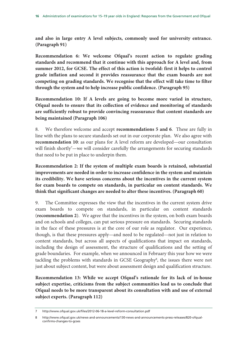**and also in large entry A level subjects, commonly used for university entrance. (Paragraph 91)** 

**Recommendation 6: We welcome Ofqual's recent action to regulate grading standards and recommend that it continue with this approach for A level and, from summer 2012, for GCSE. The effect of this action is twofold: first it helps to control grade inflation and second it provides reassurance that the exam boards are not competing on grading standards. We recognise that the effect will take time to filter through the system and to help increase public confidence. (Paragraph 95)** 

**Recommendation 10: If A levels are going to become more varied in structure, Ofqual needs to ensure that its collection of evidence and monitoring of standards are sufficiently robust to provide convincing reassurance that content standards are being maintained (Paragraph 106)** 

8. We therefore welcome and accept **recommendations 5 and 6**. These are fully in line with the plans to secure standards set out in our corporate plan. We also agree with **recommendation 10**: as our plans for A level reform are developed—our consultation will finish shortly<sup>7</sup>—we will consider carefully the arrangements for securing standards that need to be put in place to underpin them.

**Recommendation 2: If the system of multiple exam boards is retained, substantial improvements are needed in order to increase confidence in the system and maintain its credibility. We have serious concerns about the incentives in the current system for exam boards to compete on standards, in particular on content standards. We think that significant changes are needed to alter these incentives. (Paragraph 60)** 

9. The Committee expresses the view that the incentives in the current system drive exam boards to compete on standards, in particular on content standards (**recommendation 2**). We agree that the incentives in the system, on both exam boards and on schools and colleges, can put serious pressure on standards. Securing standards in the face of these pressures is at the core of our role as regulator. Our experience, though, is that these pressures apply—and need to be regulated—not just in relation to content standards, but across all aspects of qualifications that impact on standards, including the design of assessment, the structure of qualifications and the setting of grade boundaries. For example, when we announced in February this year how we were tackling the problems with standards in GCSE Geography8 , the issues there were not just about subject content, but were about assessment design and qualification structure.

**Recommendation 13: While we accept Ofqual's rationale for its lack of in-house subject expertise, criticisms from the subject communities lead us to conclude that Ofqual needs to be more transparent about its consultation with and use of external subject experts. (Paragraph 112)** 

<sup>7</sup> http://www.ofqual.gov.uk/files/2012-06-18-a-level-reform-consultation.pdf

<sup>8</sup> http://www.ofqual.gov.uk/news-and-announcements/130-news-and-announcements-press-releases/820-ofqualconfirms-changes-to-gcses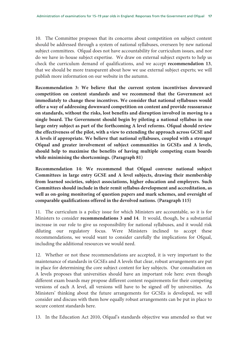10. The Committee proposes that its concerns about competition on subject content should be addressed through a system of national syllabuses, overseen by new national subject committees. Ofqual does not have accountability for curriculum issues, and nor do we have in-house subject expertise. We draw on external subject experts to help us check the curriculum demand of qualifications, and we accept **recommendation 13**, that we should be more transparent about how we use external subject experts; we will publish more information on our website in the autumn.

**Recommendation 3: We believe that the current system incentivises downward competition on content standards and we recommend that the Government act immediately to change these incentives. We consider that national syllabuses would offer a way of addressing downward competition on content and provide reassurance on standards, without the risks, lost benefits and disruption involved in moving to a single board. The Government should begin by piloting a national syllabus in one large entry subject as part of the forthcoming A level reforms. Ofqual should review the effectiveness of the pilot, with a view to extending the approach across GCSE and A levels if appropriate. We believe that national syllabuses, coupled with a stronger Ofqual and greater involvement of subject communities in GCSEs and A levels, should help to maximise the benefits of having multiple competing exam boards while minimising the shortcomings. (Paragraph 81)** 

**Recommendation 14: We recommend that Ofqual convene national subject Committees in large entry GCSE and A level subjects, drawing their membership from learned societies, subject associations, higher education and employers. Such Committees should include in their remit syllabus development and accreditation, as well as on-going monitoring of question papers and mark schemes, and oversight of comparable qualifications offered in the devolved nations. (Paragraph 115)** 

11. The curriculum is a policy issue for which Ministers are accountable, so it is for Ministers to consider **recommendations 3 and 14**. It would, though, be a substantial increase in our role to give us responsibility for national syllabuses, and it would risk diluting our regulatory focus. Were Ministers inclined to accept these recommendations, we would want to consider carefully the implications for Ofqual, including the additional resources we would need.

12. Whether or not these recommendations are accepted, it is very important to the maintenance of standards in GCSEs and A levels that clear, robust arrangements are put in place for determining the core subject content for key subjects. Our consultation on A levels proposes that universities should have an important role here: even though different exam boards may propose different content requirements for their competing versions of each A level, all versions will have to be signed off by universities. As Ministers' thinking about the future arrangements for GCSEs is developed, we will consider and discuss with them how equally robust arrangements can be put in place to secure content standards here.

13. In the Education Act 2010, Ofqual's standards objective was amended so that we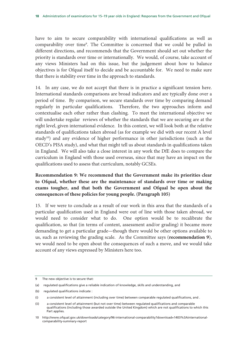have to aim to secure comparability with international qualifications as well as comparability over time<sup>9</sup>. The Committee is concerned that we could be pulled in different directions, and recommends that the Government should set out whether the priority is standards over time or internationally. We would, of course, take account of any views Ministers had on this issue, but the judgement about how to balance objectives is for Ofqual itself to decide and be accountable for. We need to make sure that there is stability over time in the approach to standards.

14. In any case, we do not accept that there is in practice a significant tension here. International standards comparisons are broad indicators and are typically done over a period of time. By comparison, we secure standards over time by comparing demand regularly in particular qualifications. Therefore, the two approaches inform and contextualise each other rather than clashing. To meet the international objective we will undertake regular reviews of whether the standards that we are securing are at the right level, given international evidence. In this context, we will look both at the relative standards of qualifications taken abroad (as for example we did with our recent A level study<sup>10</sup>) and any evidence of higher performance in other jurisdictions (such as the OECD's PISA study), and what that might tell us about standards in qualifications taken in England. We will also take a close interest in any work the DfE does to compare the curriculum in England with those used overseas, since that may have an impact on the qualifications used to assess that curriculum, notably GCSEs.

## **Recommendation 9: We recommend that the Government make its priorities clear to Ofqual, whether these are the maintenance of standards over time or making exams tougher, and that both the Government and Ofqual be open about the consequences of these policies for young people. (Paragraph 105)**

15. If we were to conclude as a result of our work in this area that the standards of a particular qualification used in England were out of line with those taken abroad, we would need to consider what to do. One option would be to recalibrate the qualification, so that (in terms of content, assessment and/or grading) it became more demanding to get a particular grade—though there would be other options available to us, such as reviewing the grading scale. As the Committee says (**recommendation 9**), we would need to be open about the consequences of such a move, and we would take account of any views expressed by Ministers here too.

<sup>9</sup> The new objective is to secure that:

<sup>(</sup>a) regulated qualifications give a reliable indication of knowledge, skills and understanding, and

<sup>(</sup>b) regulated qualifications indicate :

<sup>(</sup>i) a consistent level of attainment (including over time) between comparable regulated qualifications, and .

<sup>(</sup>ii) a consistent level of attainment (but not over time) between regulated qualifications and comparable qualifications (including those awarded outside the United Kingdom) which are not qualifications to which this Part applies.

<sup>10</sup> http://www.ofqual.gov.uk/downloads/category/96-international-comparability?download=1403%3Ainternationalcomparability-summary-report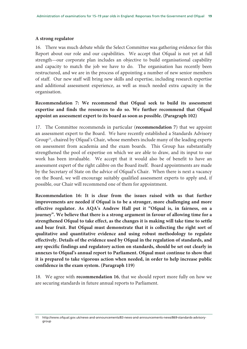#### **A strong regulator**

16. There was much debate while the Select Committee was gathering evidence for this Report about our role and our capabilities. We accept that Ofqual is not yet at full strength—our corporate plan includes an objective to build organisational capability and capacity to match the job we have to do. The organisation has recently been restructured, and we are in the process of appointing a number of new senior members of staff. Our new staff will bring new skills and expertise, including research expertise and additional assessment experience, as well as much needed extra capacity in the organisation.

## **Recommendation 7: We recommend that Ofqual seek to build its assessment expertise and finds the resources to do so. We further recommend that Ofqual appoint an assessment expert to its board as soon as possible. (Paragraph 102)**

17. The Committee recommends in particular (**recommendation 7**) that we appoint an assessment expert to the Board. We have recently established a Standards Advisory  $Group<sup>11</sup>$ , chaired by Ofqual's Chair, whose members include many of the leading experts on assessment from academia and the exam boards. This Group has substantially strengthened the pool of expertise on which we are able to draw, and its input to our work has been invaluable. We accept that it would also be of benefit to have an assessment expert of the right calibre on the Board itself. Board appointments are made by the Secretary of State on the advice of Ofqual's Chair. When there is next a vacancy on the Board, we will encourage suitably qualified assessment experts to apply and, if possible, our Chair will recommend one of them for appointment.

**Recommendation 16: It is clear from the issues raised with us that further improvements are needed if Ofqual is to be a stronger, more challenging and more effective regulator. As AQA's Andrew Hall put it "Ofqual is, in fairness, on a journey". We believe that there is a strong argument in favour of allowing time for a strengthened Ofqual to take effect, as the changes it is making will take time to settle and bear fruit. But Ofqual must demonstrate that it is collecting the right sort of qualitative and quantitative evidence and using robust methodology to regulate effectively. Details of the evidence used by Ofqual in the regulation of standards, and any specific findings and regulatory action on standards, should be set out clearly in annexes to Ofqual's annual report to Parliament. Ofqual must continue to show that it is prepared to take vigorous action when needed, in order to help increase public confidence in the exam system. (Paragraph 119)** 

18. We agree with **recommendation 16**, that we should report more fully on how we are securing standards in future annual reports to Parliament.

<sup>11</sup> http://www.ofqual.gov.uk/news-and-announcements/83-news-and-announcements-news/869-standards-advisorygroup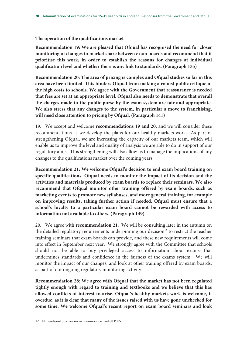#### **The operation of the qualifications market**

**Recommendation 19: We are pleased that Ofqual has recognised the need for closer monitoring of changes in market share between exam boards and recommend that it prioritise this work, in order to establish the reasons for changes at individual qualification level and whether there is any link to standards. (Paragraph 135)** 

**Recommendation 20: The area of pricing is complex and Ofqual studies so far in this area have been limited. This hinders Ofqual from making a robust public critique of the high costs to schools. We agree with the Government that reassurance is needed that fees are set at an appropriate level. Ofqual also needs to demonstrate that overall the charges made to the public purse by the exam system are fair and appropriate. We also stress that any changes to the system, in particular a move to franchising, will need close attention to pricing by Ofqual. (Paragraph 141)** 

19. We accept and welcome **recommendations 19 and 20**, and we will consider these recommendations as we develop the plans for our healthy markets work. As part of strengthening Ofqual, we are increasing the capacity of our markets team, which will enable us to improve the level and quality of analysis we are able to do in support of our regulatory aims. This strengthening will also allow us to manage the implications of any changes to the qualifications market over the coming years.

**Recommendation 21: We welcome Ofqual's decision to end exam board training on specific qualifications. Ofqual needs to monitor the impact of its decision and the activities and materials produced by exam boards to replace their seminars. We also recommend that Ofqual monitor other training offered by exam boards, such as marketing events to promote new syllabuses, and more general training, for example on improving results, taking further action if needed. Ofqual must ensure that a school's loyalty to a particular exam board cannot be rewarded with access to information not available to others. (Paragraph 149)** 

20. We agree with **recommendation 21**. We will be consulting later in the autumn on the detailed regulatory requirements underpinning our decision<sup>12</sup> to restrict the teacher training seminars that exam boards can provide, and these new requirements will come into effect in September next year. We strongly agree with the Committee that schools should not be able to buy privileged access to information about exams: that undermines standards and confidence in the fairness of the exams system. We will monitor the impact of our changes, and look at other training offered by exam boards, as part of our ongoing regulatory monitoring activity.

**Recommendation 28: We agree with Ofqual that the market has not been regulated tightly enough with regard to training and textbooks and we believe that this has allowed conflicts of interest to arise. Ofqual's healthy markets work is welcome, if overdue, as it is clear that many of the issues raised with us have gone unchecked for some time. We welcome Ofqual's recent report on exam board seminars and look**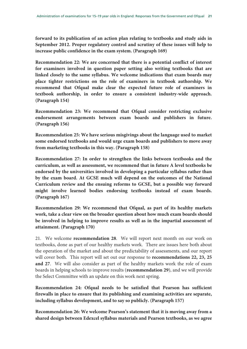**forward to its publication of an action plan relating to textbooks and study aids in September 2012. Proper regulatory control and scrutiny of these issues will help to increase public confidence in the exam system. (Paragraph 169)** 

**Recommendation 22: We are concerned that there is a potential conflict of interest for examiners involved in question paper setting also writing textbooks that are linked closely to the same syllabus. We welcome indications that exam boards may place tighter restrictions on the role of examiners in textbook authorship. We recommend that Ofqual make clear the expected future role of examiners in textbook authorship, in order to ensure a consistent industry-wide approach. (Paragraph 154)** 

**Recommendation 23: We recommend that Ofqual consider restricting exclusive endorsement arrangements between exam boards and publishers in future. (Paragraph 156)** 

**Recommendation 25: We have serious misgivings about the language used to market some endorsed textbooks and would urge exam boards and publishers to move away from marketing textbooks in this way. (Paragraph 158)** 

**Recommendation 27: In order to strengthen the links between textbooks and the curriculum, as well as assessment, we recommend that in future A level textbooks be endorsed by the universities involved in developing a particular syllabus rather than by the exam board. At GCSE much will depend on the outcomes of the National Curriculum review and the ensuing reforms to GCSE, but a possible way forward might involve learned bodies endorsing textbooks instead of exam boards. (Paragraph 167)** 

**Recommendation 29: We recommend that Ofqual, as part of its healthy markets work, take a clear view on the broader question about how much exam boards should be involved in helping to improve results as well as in the impartial assessment of attainment. (Paragraph 170)** 

21. We welcome **recommendation 28**. We will report next month on our work on textbooks, done as part of our healthy markets work. There are issues here both about the operation of the market and about the predictability of assessments, and our report will cover both. This report will set out our response to **recommendations 22, 23, 25 and 27**. We will also consider as part of the healthy markets work the role of exam boards in helping schools to improve results (**recommendation 29**), and we will provide the Select Committee with an update on this work next spring.

**Recommendation 24: Ofqual needs to be satisfied that Pearson has sufficient firewalls in place to ensure that its publishing and examining activities are separate, including syllabus development, and to say so publicly. (Paragraph 157)** 

**Recommendation 26: We welcome Pearson's statement that it is moving away from a shared design between Edexcel syllabus materials and Pearson textbooks, as we agree**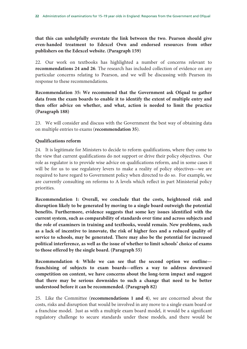**that this can unhelpfully overstate the link between the two. Pearson should give even-handed treatment to Edexcel Own and endorsed resources from other publishers on the Edexcel website. (Paragraph 159)** 

22. Our work on textbooks has highlighted a number of concerns relevant to **recommendations 24 and 26**. The research has included collection of evidence on any particular concerns relating to Pearson, and we will be discussing with Pearson its response to these recommendations.

**Recommendation 35: We recommend that the Government ask Ofqual to gather data from the exam boards to enable it to identify the extent of multiple entry and then offer advice on whether, and what, action is needed to limit the practice (Paragraph 188)** 

23. We will consider and discuss with the Government the best way of obtaining data on multiple entries to exams (**recommendation 35**).

## **Qualifications reform**

24. It is legitimate for Ministers to decide to reform qualifications, where they come to the view that current qualifications do not support or drive their policy objectives. Our role as regulator is to provide wise advice on qualifications reform, and in some cases it will be for us to use regulatory levers to make a reality of policy objectives—we are required to have regard to Government policy when directed to do so. For example, we are currently consulting on reforms to A levels which reflect in part Ministerial policy priorities.

**Recommendation 1: Overall, we conclude that the costs, heightened risk and disruption likely to be generated by moving to a single board outweigh the potential benefits. Furthermore, evidence suggests that some key issues identified with the current system, such as comparability of standards over time and across subjects and the role of examiners in training and textbooks, would remain. New problems, such as a lack of incentive to innovate, the risk of higher fees and a reduced quality of service to schools, may be generated. There may also be the potential for increased political interference, as well as the issue of whether to limit schools' choice of exams to those offered by the single board. (Paragraph 55)** 

**Recommendation 4: While we can see that the second option we outline franchising of subjects to exam boards—offers a way to address downward competition on content, we have concerns about the long-term impact and suggest that there may be serious downsides to such a change that need to be better understood before it can be recommended. (Paragraph 82)** 

25. Like the Committee (**recommendations 1 and 4**), we are concerned about the costs, risks and disruption that would be involved in any move to a single exam board or a franchise model. Just as with a multiple exam board model, it would be a significant regulatory challenge to secure standards under these models, and there would be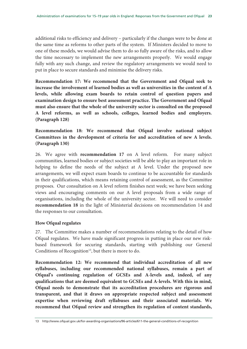additional risks to efficiency and delivery – particularly if the changes were to be done at the same time as reforms to other parts of the system. If Ministers decided to move to one of these models, we would advise them to do so fully aware of the risks, and to allow the time necessary to implement the new arrangements properly. We would engage fully with any such change, and review the regulatory arrangements we would need to put in place to secure standards and minimise the delivery risks.

**Recommendation 17: We recommend that the Government and Ofqual seek to increase the involvement of learned bodies as well as universities in the content of A levels, while allowing exam boards to retain control of question papers and examination design to ensure best assessment practice. The Government and Ofqual must also ensure that the whole of the university sector is consulted on the proposed A level reforms, as well as schools, colleges, learned bodies and employers. (Paragraph 128)** 

**Recommendation 18: We recommend that Ofqual involve national subject Committees in the development of criteria for and accreditation of new A levels. (Paragraph 130)** 

26. We agree with **recommendation 17** on A level reform. For many subject communities, learned bodies or subject societies will be able to play an important role in helping to define the needs of the subject at A level. Under the proposed new arrangements, we will expect exam boards to continue to be accountable for standards in their qualifications, which means retaining control of assessment, as the Committee proposes. Our consultation on A level reform finishes next week; we have been seeking views and encouraging comments on our A level proposals from a wide range of organisations, including the whole of the university sector. We will need to consider **recommendation 18** in the light of Ministerial decisions on recommendation 14 and the responses to our consultation.

## **How Ofqual regulates**

27. The Committee makes a number of recommendations relating to the detail of how Ofqual regulates. We have made significant progress in putting in place our new riskbased framework for securing standards, starting with publishing our General Conditions of Recognition<sup>13</sup>, but there is more to do.

**Recommendation 12: We recommend that individual accreditation of all new syllabuses, including our recommended national syllabuses, remain a part of Ofqual's continuing regulation of GCSEs and A-levels and, indeed, of any qualifications that are deemed equivalent to GCSEs and A-levels. With this in mind, Ofqual needs to demonstrate that its accreditation procedures are rigorous and transparent, and that it draws on appropriate respected subject and assessment expertise when reviewing draft syllabuses and their associated materials. We recommend that Ofqual review and strengthen its regulation of content standards,** 

<sup>13</sup> http://www.ofqual.gov.uk/for-awarding-organisations/96-articles/611-the-general-conditions-of-recognition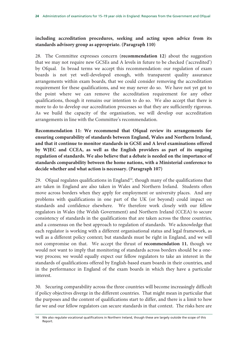## **including accreditation procedures, seeking and acting upon advice from its standards advisory group as appropriate. (Paragraph 110)**

28. The Committee expresses concern (**recommendation 12**) about the suggestion that we may not require new GCSEs and A levels in future to be checked ('accredited') by Ofqual. In broad terms we accept this recommendation: our regulation of exam boards is not yet well-developed enough, with transparent quality assurance arrangements within exam boards, that we could consider removing the accreditation requirement for these qualifications, and we may never do so. We have not yet got to the point where we can remove the accreditation requirement for any other qualifications, though it remains our intention to do so. We also accept that there is more to do to develop our accreditation processes so that they are sufficiently rigorous. As we build the capacity of the organisation, we will develop our accreditation arrangements in line with the Committee's recommendation.

**Recommendation 11: We recommend that Ofqual review its arrangements for ensuring comparability of standards between England, Wales and Northern Ireland, and that it continue to monitor standards in GCSE and A level examinations offered by WJEC and CCEA, as well as the English providers as part of its ongoing regulation of standards. We also believe that a debate is needed on the importance of standards comparability between the home nations, with a Ministerial conference to decide whether and what action is necessary. (Paragraph 107)** 

29. Ofqual regulates qualifications in England<sup>14</sup>, though many of the qualifications that are taken in England are also taken in Wales and Northern Ireland. Students often move across borders when they apply for employment or university places. And any problems with qualifications in one part of the UK (or beyond) could impact on standards and confidence elsewhere. We therefore work closely with our fellow regulators in Wales (the Welsh Government) and Northern Ireland (CCEA) to secure consistency of standards in the qualifications that are taken across the three countries, and a consensus on the best approach to regulation of standards. We acknowledge that each regulator is working with a different organisational status and legal framework, as well as a different policy context; but standards must be right in England, and we will not compromise on that. We accept the thrust of **recommendation 11**, though we would not want to imply that monitoring of standards across borders should be a oneway process; we would equally expect our fellow regulators to take an interest in the standards of qualifications offered by English-based exam boards in their countries, and in the performance in England of the exam boards in which they have a particular interest.

30. Securing comparability across the three countries will become increasingly difficult if policy objectives diverge in the different countries. That might mean in particular that the purposes and the content of qualifications start to differ, and there is a limit to how far we and our fellow regulators can secure standards in that context. The risks here are

<sup>14</sup> We also regulate vocational qualifications in Northern Ireland, though these are largely outside the scope of this Report.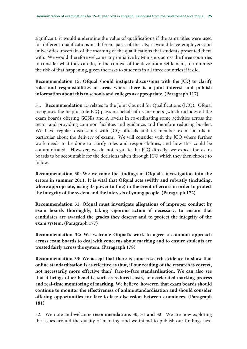significant: it would undermine the value of qualifications if the same titles were used for different qualifications in different parts of the UK; it would leave employers and universities uncertain of the meaning of the qualifications that students presented them with. We would therefore welcome any initiative by Ministers across the three countries to consider what they can do, in the context of the devolution settlement, to minimise the risk of that happening, given the risks to students in all three countries if it did.

## **Recommendation 15: Ofqual should instigate discussions with the JCQ to clarify roles and responsibilities in areas where there is a joint interest and publish information about this to schools and colleges as appropriate. (Paragraph 117)**

31. **Recommendation 15** relates to the Joint Council for Qualifications (JCQ). Ofqual recognises the helpful role JCQ plays on behalf of its members (which includes all the exam boards offering GCSEs and A levels) in co-ordinating some activities across the sector and providing common facilities and guidance, and therefore reducing burden. We have regular discussions with JCQ officials and its member exam boards in particular about the delivery of exams. We will consider with the JCQ where further work needs to be done to clarify roles and responsibilities, and how this could be communicated. However, we do not regulate the JCQ directly; we expect the exam boards to be accountable for the decisions taken through JCQ which they then choose to follow.

**Recommendation 30: We welcome the findings of Ofqual's investigation into the errors in summer 2011. It is vital that Ofqual acts swiftly and robustly (including, where appropriate, using its power to fine) in the event of errors in order to protect the integrity of the system and the interests of young people. (Paragraph 172)** 

**Recommendation 31: Ofqual must investigate allegations of improper conduct by exam boards thoroughly, taking vigorous action if necessary, to ensure that candidates are awarded the grades they deserve and to protect the integrity of the exam system. (Paragraph 177)** 

**Recommendation 32: We welcome Ofqual's work to agree a common approach across exam boards to deal with concerns about marking and to ensure students are treated fairly across the system. (Paragraph 178)** 

**Recommendation 33: We accept that there is some research evidence to show that online standardisation is as effective as (but, if our reading of the research is correct, not necessarily more effective than) face-to-face standardisation. We can also see that it brings other benefits, such as reduced costs, an accelerated marking process and real-time monitoring of marking. We believe, however, that exam boards should continue to monitor the effectiveness of online standardisation and should consider offering opportunities for face-to-face discussion between examiners. (Paragraph 181)** 

32. We note and welcome **recommendations 30, 31 and 32**. We are now exploring the issues around the quality of marking, and we intend to publish our findings next